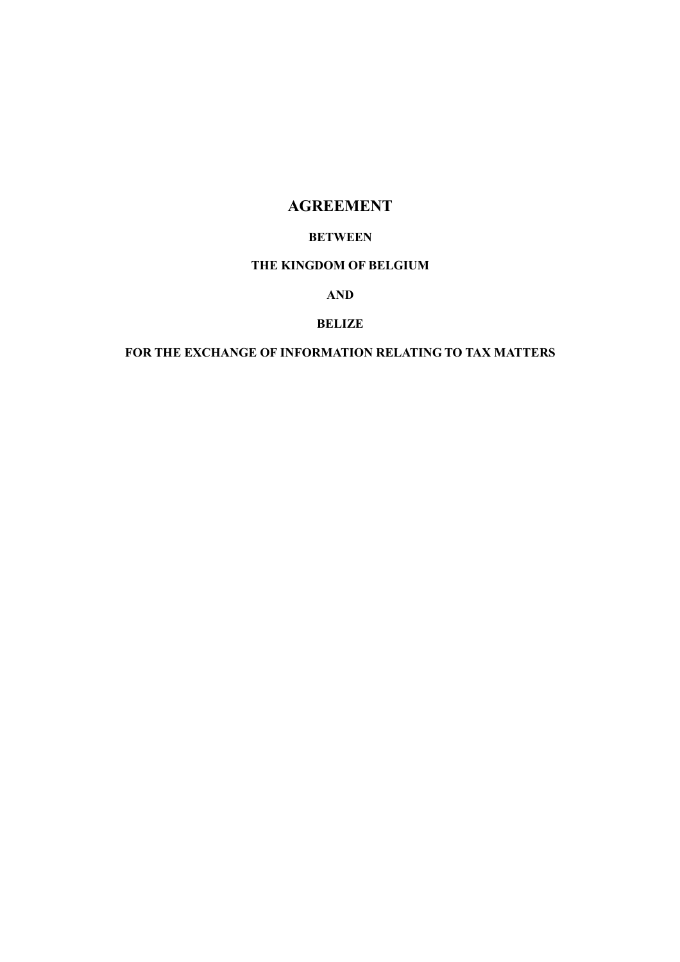# AGREEMENT

## BETWEEN

## THE KINGDOM OF BELGIUM

## AND

## BELIZE

## FOR THE EXCHANGE OF INFORMATION RELATING TO TAX MATTERS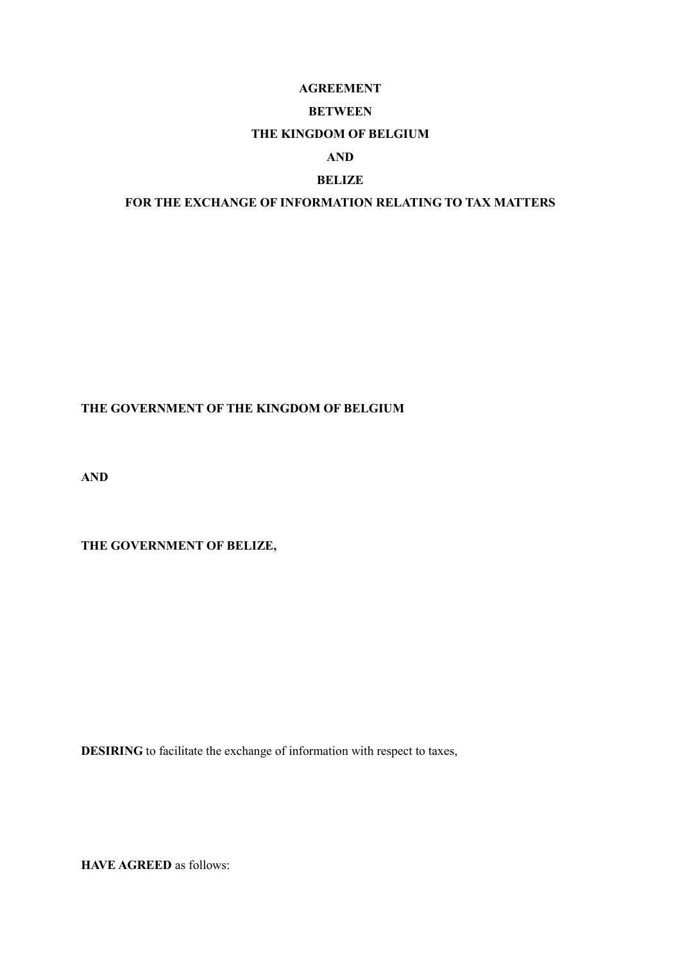## AGREEMENT

#### BETWEEN

### THE KINGDOM OF BELGIUM

### AND

## BELIZE

## FOR THE EXCHANGE OF INFORMATION RELATING TO TAX MATTERS

## THE GOVERNMENT OF THE KINGDOM OF BELGIUM

AND

THE GOVERNMENT OF BELIZE,

DESIRING to facilitate the exchange of information with respect to taxes,

HAVE AGREED as follows: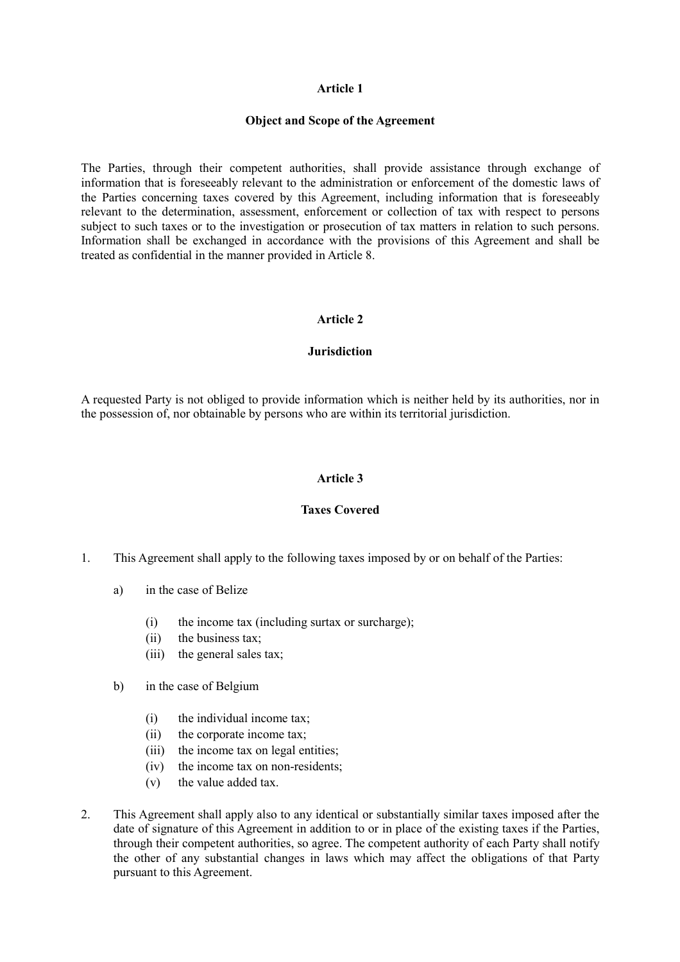#### Object and Scope of the Agreement

The Parties, through their competent authorities, shall provide assistance through exchange of information that is foreseeably relevant to the administration or enforcement of the domestic laws of the Parties concerning taxes covered by this Agreement, including information that is foreseeably relevant to the determination, assessment, enforcement or collection of tax with respect to persons subject to such taxes or to the investigation or prosecution of tax matters in relation to such persons. Information shall be exchanged in accordance with the provisions of this Agreement and shall be treated as confidential in the manner provided in Article 8.

#### Article 2

#### **Jurisdiction**

A requested Party is not obliged to provide information which is neither held by its authorities, nor in the possession of, nor obtainable by persons who are within its territorial jurisdiction.

#### Article 3

#### Taxes Covered

- 1. This Agreement shall apply to the following taxes imposed by or on behalf of the Parties:
	- a) in the case of Belize
		- (i) the income tax (including surtax or surcharge);
		- (ii) the business tax;
		- (iii) the general sales tax;
	- b) in the case of Belgium
		- (i) the individual income tax;
		- (ii) the corporate income tax;
		- (iii) the income tax on legal entities;
		- (iv) the income tax on non-residents;
		- (v) the value added tax.
- 2. This Agreement shall apply also to any identical or substantially similar taxes imposed after the date of signature of this Agreement in addition to or in place of the existing taxes if the Parties, through their competent authorities, so agree. The competent authority of each Party shall notify the other of any substantial changes in laws which may affect the obligations of that Party pursuant to this Agreement.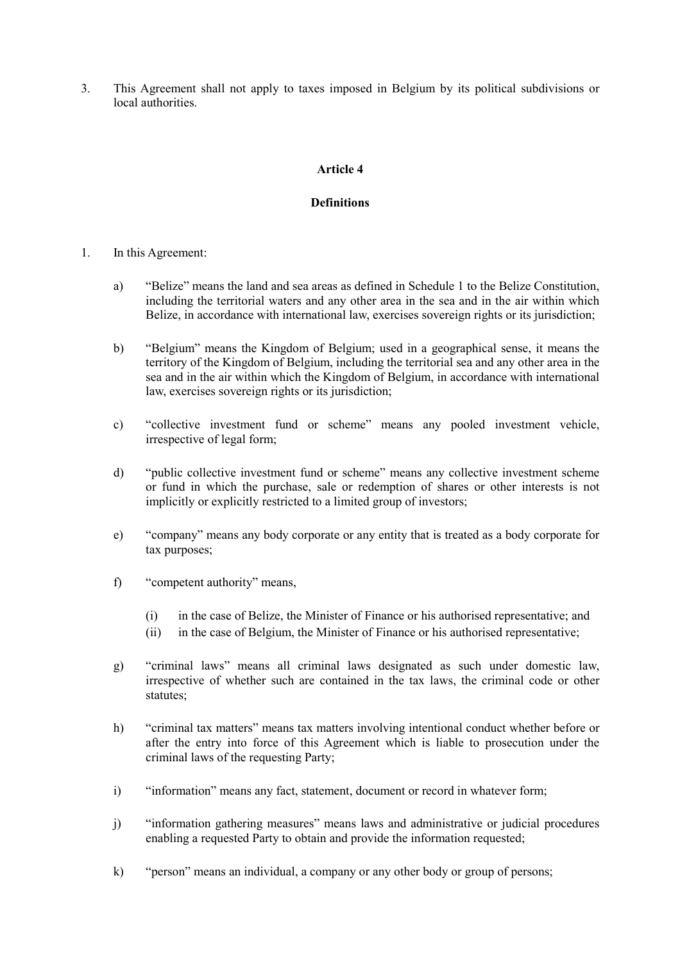3. This Agreement shall not apply to taxes imposed in Belgium by its political subdivisions or local authorities.

### Article 4

### **Definitions**

- 1. In this Agreement:
	- a) "Belize" means the land and sea areas as defined in Schedule 1 to the Belize Constitution, including the territorial waters and any other area in the sea and in the air within which Belize, in accordance with international law, exercises sovereign rights or its jurisdiction;
	- b) "Belgium" means the Kingdom of Belgium; used in a geographical sense, it means the territory of the Kingdom of Belgium, including the territorial sea and any other area in the sea and in the air within which the Kingdom of Belgium, in accordance with international law, exercises sovereign rights or its jurisdiction;
	- c) "collective investment fund or scheme" means any pooled investment vehicle, irrespective of legal form;
	- d) "public collective investment fund or scheme" means any collective investment scheme or fund in which the purchase, sale or redemption of shares or other interests is not implicitly or explicitly restricted to a limited group of investors;
	- e) "company" means any body corporate or any entity that is treated as a body corporate for tax purposes;
	- f) "competent authority" means,
		- (i) in the case of Belize, the Minister of Finance or his authorised representative; and
		- (ii) in the case of Belgium, the Minister of Finance or his authorised representative;
	- g) "criminal laws" means all criminal laws designated as such under domestic law, irrespective of whether such are contained in the tax laws, the criminal code or other statutes;
	- h) "criminal tax matters" means tax matters involving intentional conduct whether before or after the entry into force of this Agreement which is liable to prosecution under the criminal laws of the requesting Party;
	- i) "information" means any fact, statement, document or record in whatever form;
	- j) "information gathering measures" means laws and administrative or judicial procedures enabling a requested Party to obtain and provide the information requested;
	- k) "person" means an individual, a company or any other body or group of persons;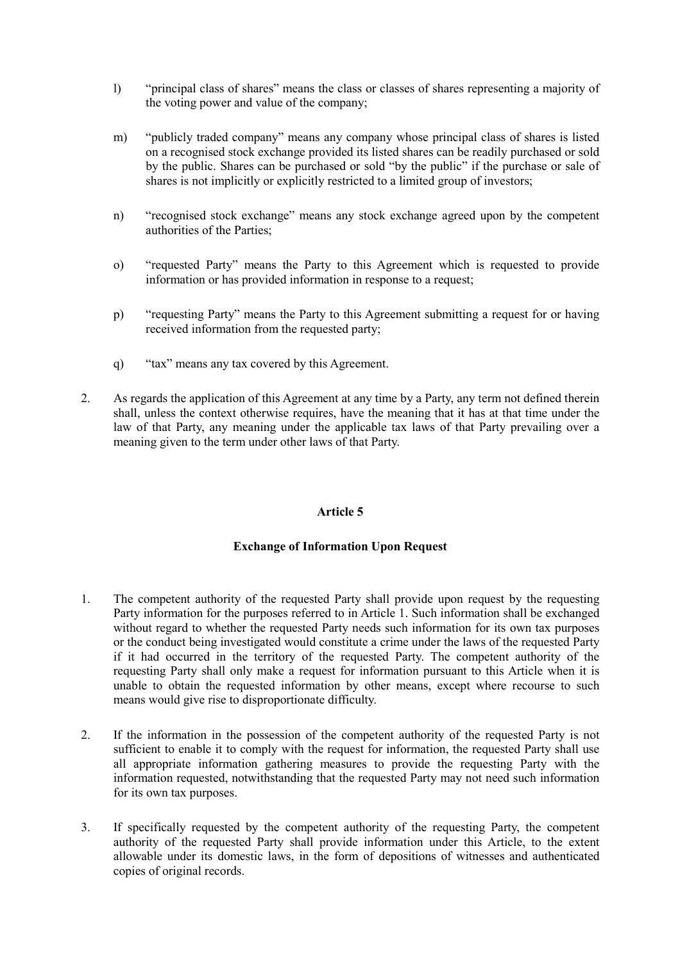- l) "principal class of shares" means the class or classes of shares representing a majority of the voting power and value of the company;
- m) "publicly traded company" means any company whose principal class of shares is listed on a recognised stock exchange provided its listed shares can be readily purchased or sold by the public. Shares can be purchased or sold "by the public" if the purchase or sale of shares is not implicitly or explicitly restricted to a limited group of investors;
- n) "recognised stock exchange" means any stock exchange agreed upon by the competent authorities of the Parties;
- o) "requested Party" means the Party to this Agreement which is requested to provide information or has provided information in response to a request;
- p) "requesting Party" means the Party to this Agreement submitting a request for or having received information from the requested party;
- q) "tax" means any tax covered by this Agreement.
- 2. As regards the application of this Agreement at any time by a Party, any term not defined therein shall, unless the context otherwise requires, have the meaning that it has at that time under the law of that Party, any meaning under the applicable tax laws of that Party prevailing over a meaning given to the term under other laws of that Party.

#### Exchange of Information Upon Request

- 1. The competent authority of the requested Party shall provide upon request by the requesting Party information for the purposes referred to in Article 1. Such information shall be exchanged without regard to whether the requested Party needs such information for its own tax purposes or the conduct being investigated would constitute a crime under the laws of the requested Party if it had occurred in the territory of the requested Party. The competent authority of the requesting Party shall only make a request for information pursuant to this Article when it is unable to obtain the requested information by other means, except where recourse to such means would give rise to disproportionate difficulty.
- 2. If the information in the possession of the competent authority of the requested Party is not sufficient to enable it to comply with the request for information, the requested Party shall use all appropriate information gathering measures to provide the requesting Party with the information requested, notwithstanding that the requested Party may not need such information for its own tax purposes.
- 3. If specifically requested by the competent authority of the requesting Party, the competent authority of the requested Party shall provide information under this Article, to the extent allowable under its domestic laws, in the form of depositions of witnesses and authenticated copies of original records.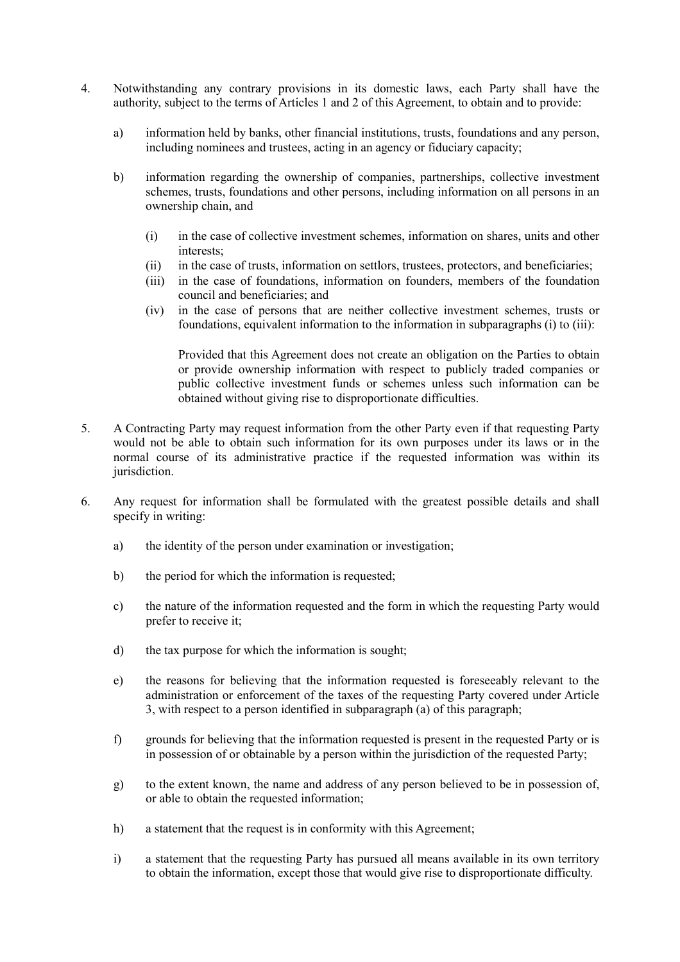- 4. Notwithstanding any contrary provisions in its domestic laws, each Party shall have the authority, subject to the terms of Articles 1 and 2 of this Agreement, to obtain and to provide:
	- a) information held by banks, other financial institutions, trusts, foundations and any person, including nominees and trustees, acting in an agency or fiduciary capacity;
	- b) information regarding the ownership of companies, partnerships, collective investment schemes, trusts, foundations and other persons, including information on all persons in an ownership chain, and
		- (i) in the case of collective investment schemes, information on shares, units and other interests;
		- (ii) in the case of trusts, information on settlors, trustees, protectors, and beneficiaries;
		- (iii) in the case of foundations, information on founders, members of the foundation council and beneficiaries; and
		- (iv) in the case of persons that are neither collective investment schemes, trusts or foundations, equivalent information to the information in subparagraphs (i) to (iii):

Provided that this Agreement does not create an obligation on the Parties to obtain or provide ownership information with respect to publicly traded companies or public collective investment funds or schemes unless such information can be obtained without giving rise to disproportionate difficulties.

- 5. A Contracting Party may request information from the other Party even if that requesting Party would not be able to obtain such information for its own purposes under its laws or in the normal course of its administrative practice if the requested information was within its jurisdiction.
- 6. Any request for information shall be formulated with the greatest possible details and shall specify in writing:
	- a) the identity of the person under examination or investigation;
	- b) the period for which the information is requested;
	- c) the nature of the information requested and the form in which the requesting Party would prefer to receive it;
	- d) the tax purpose for which the information is sought;
	- e) the reasons for believing that the information requested is foreseeably relevant to the administration or enforcement of the taxes of the requesting Party covered under Article 3, with respect to a person identified in subparagraph (a) of this paragraph;
	- f) grounds for believing that the information requested is present in the requested Party or is in possession of or obtainable by a person within the jurisdiction of the requested Party;
	- g) to the extent known, the name and address of any person believed to be in possession of, or able to obtain the requested information;
	- h) a statement that the request is in conformity with this Agreement;
	- i) a statement that the requesting Party has pursued all means available in its own territory to obtain the information, except those that would give rise to disproportionate difficulty.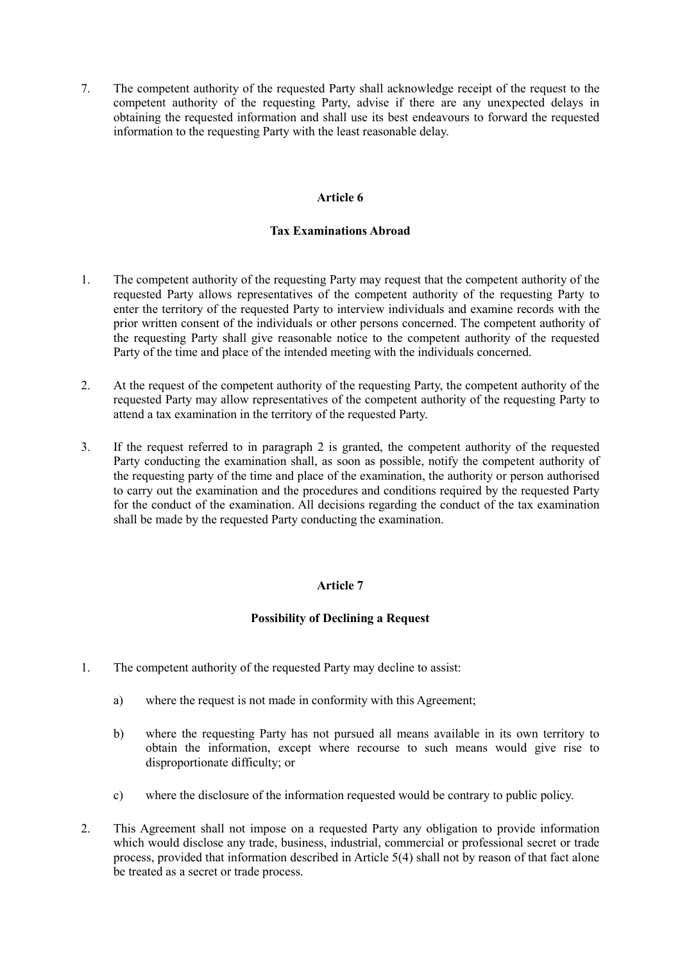7. The competent authority of the requested Party shall acknowledge receipt of the request to the competent authority of the requesting Party, advise if there are any unexpected delays in obtaining the requested information and shall use its best endeavours to forward the requested information to the requesting Party with the least reasonable delay.

#### Article 6

#### Tax Examinations Abroad

- 1. The competent authority of the requesting Party may request that the competent authority of the requested Party allows representatives of the competent authority of the requesting Party to enter the territory of the requested Party to interview individuals and examine records with the prior written consent of the individuals or other persons concerned. The competent authority of the requesting Party shall give reasonable notice to the competent authority of the requested Party of the time and place of the intended meeting with the individuals concerned.
- 2. At the request of the competent authority of the requesting Party, the competent authority of the requested Party may allow representatives of the competent authority of the requesting Party to attend a tax examination in the territory of the requested Party.
- 3. If the request referred to in paragraph 2 is granted, the competent authority of the requested Party conducting the examination shall, as soon as possible, notify the competent authority of the requesting party of the time and place of the examination, the authority or person authorised to carry out the examination and the procedures and conditions required by the requested Party for the conduct of the examination. All decisions regarding the conduct of the tax examination shall be made by the requested Party conducting the examination.

### Article 7

### Possibility of Declining a Request

- 1. The competent authority of the requested Party may decline to assist:
	- a) where the request is not made in conformity with this Agreement;
	- b) where the requesting Party has not pursued all means available in its own territory to obtain the information, except where recourse to such means would give rise to disproportionate difficulty; or
	- c) where the disclosure of the information requested would be contrary to public policy.
- 2. This Agreement shall not impose on a requested Party any obligation to provide information which would disclose any trade, business, industrial, commercial or professional secret or trade process, provided that information described in Article 5(4) shall not by reason of that fact alone be treated as a secret or trade process.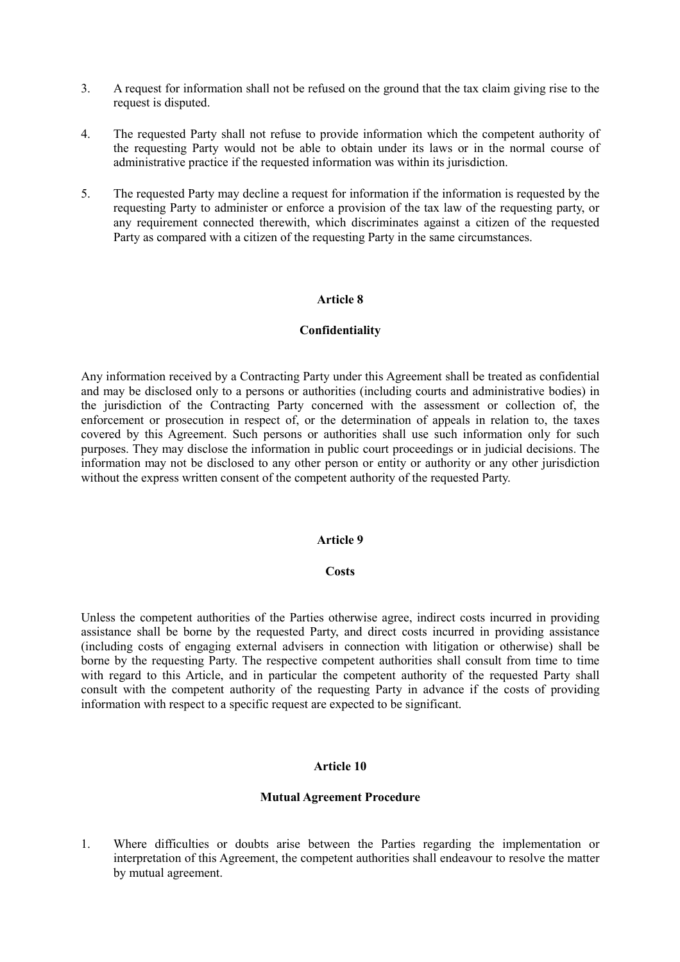- 3. A request for information shall not be refused on the ground that the tax claim giving rise to the request is disputed.
- 4. The requested Party shall not refuse to provide information which the competent authority of the requesting Party would not be able to obtain under its laws or in the normal course of administrative practice if the requested information was within its jurisdiction.
- 5. The requested Party may decline a request for information if the information is requested by the requesting Party to administer or enforce a provision of the tax law of the requesting party, or any requirement connected therewith, which discriminates against a citizen of the requested Party as compared with a citizen of the requesting Party in the same circumstances.

#### **Confidentiality**

Any information received by a Contracting Party under this Agreement shall be treated as confidential and may be disclosed only to a persons or authorities (including courts and administrative bodies) in the jurisdiction of the Contracting Party concerned with the assessment or collection of, the enforcement or prosecution in respect of, or the determination of appeals in relation to, the taxes covered by this Agreement. Such persons or authorities shall use such information only for such purposes. They may disclose the information in public court proceedings or in judicial decisions. The information may not be disclosed to any other person or entity or authority or any other jurisdiction without the express written consent of the competent authority of the requested Party.

#### Article 9

#### **Costs**

Unless the competent authorities of the Parties otherwise agree, indirect costs incurred in providing assistance shall be borne by the requested Party, and direct costs incurred in providing assistance (including costs of engaging external advisers in connection with litigation or otherwise) shall be borne by the requesting Party. The respective competent authorities shall consult from time to time with regard to this Article, and in particular the competent authority of the requested Party shall consult with the competent authority of the requesting Party in advance if the costs of providing information with respect to a specific request are expected to be significant.

#### Article 10

#### Mutual Agreement Procedure

1. Where difficulties or doubts arise between the Parties regarding the implementation or interpretation of this Agreement, the competent authorities shall endeavour to resolve the matter by mutual agreement.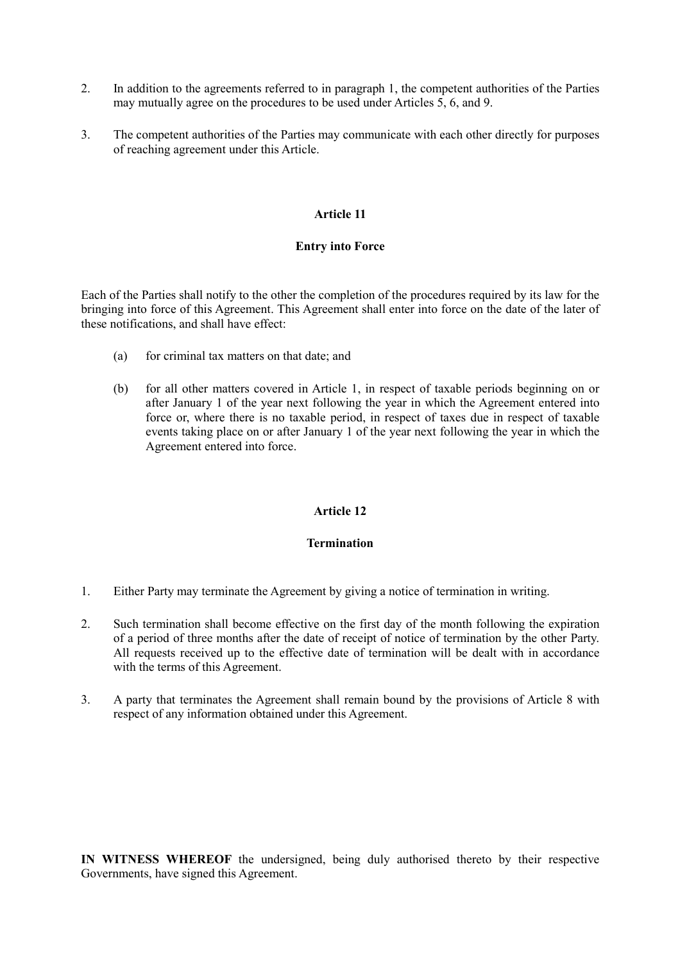- 2. In addition to the agreements referred to in paragraph 1, the competent authorities of the Parties may mutually agree on the procedures to be used under Articles 5, 6, and 9.
- 3. The competent authorities of the Parties may communicate with each other directly for purposes of reaching agreement under this Article.

#### Entry into Force

Each of the Parties shall notify to the other the completion of the procedures required by its law for the bringing into force of this Agreement. This Agreement shall enter into force on the date of the later of these notifications, and shall have effect:

- (a) for criminal tax matters on that date; and
- (b) for all other matters covered in Article 1, in respect of taxable periods beginning on or after January 1 of the year next following the year in which the Agreement entered into force or, where there is no taxable period, in respect of taxes due in respect of taxable events taking place on or after January 1 of the year next following the year in which the Agreement entered into force.

#### Article 12

#### **Termination**

- 1. Either Party may terminate the Agreement by giving a notice of termination in writing.
- 2. Such termination shall become effective on the first day of the month following the expiration of a period of three months after the date of receipt of notice of termination by the other Party. All requests received up to the effective date of termination will be dealt with in accordance with the terms of this Agreement.
- 3. A party that terminates the Agreement shall remain bound by the provisions of Article 8 with respect of any information obtained under this Agreement.

IN WITNESS WHEREOF the undersigned, being duly authorised thereto by their respective Governments, have signed this Agreement.